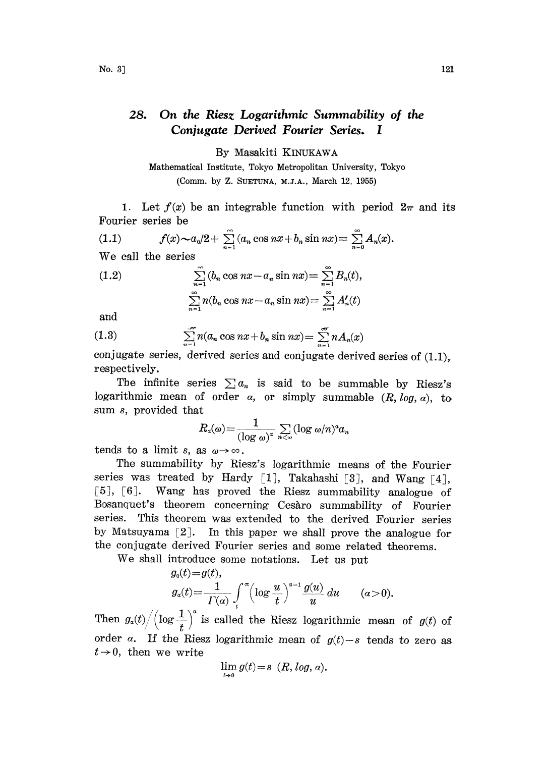## 28. On the Riesz Logarithmic Summability of the Conjugate Derived Fourier Series. I

By Masakiti KINUKAWA

Mathematical Institute, Tokyo Metropolitan University, Tokyo (Comm. by Z. SUETUNA, M.J.A., March 12, 1955)

1. Let  $f(x)$  be an integrable function with period  $2\pi$  and its Fourier series be

(1.1) 
$$
f(x) \sim a_0/2 + \sum_{n=1}^{\infty} (a_n \cos nx + b_n \sin nx) \equiv \sum_{n=0}^{\infty} A_n(x).
$$

We call the series

(1.2) 
$$
\sum_{n=1}^{\infty} (b_n \cos nx - a_n \sin nx) \equiv \sum_{n=1}^{\infty} B_n(t),
$$

$$
\sum_{n=1}^{\infty} n(b_n \cos nx - a_n \sin nx) = \sum_{n=1}^{\infty} A'_n(t)
$$

and

(1.3) 
$$
\sum_{n=1}^{\infty} n(a_n \cos nx + b_n \sin nx) = \sum_{n=1}^{\infty} n A_n(x)
$$

conjugate series, derived series and conjugate derived series of (1.1), respectively.

The infinite series  $\sum a_n$  is said to be summable by Riesz's logarithmic mean of order  $\alpha$ , or simply summable  $(R, log, \alpha)$ , to sum s, provided that

$$
R_a(\omega) = \frac{1}{(\log \omega)^a} \sum_{n < \omega} (\log \omega/n)^a a_n
$$
  
as  $\omega \to \infty$ .  
 $\omega$  by Riesz's logarithmic, m

tends to a limit s, as

The summability by Riesz's logarithmic means of the Fourier series was treated by Hardy [1], Takahashi [3], and Wang [4], [5], [6]. Wang has proved the Riesz summability analogue of Bosanquet's theorem concerning Cesaro summability of Fourier series. This theorem was extended to the derived Fourier series by Matsuyama  $\lceil 2 \rceil$ . In this paper we shall prove the analogue for the conjugate derived Fourier series aad some related theorems.

We shall introduce some notations. Let us put

$$
g_0(t) = g(t),
$$
  
\n
$$
g_a(t) = \frac{1}{\Gamma(\alpha)} \int_t^{\pi} \left(\log \frac{u}{t}\right)^{\alpha-1} \frac{g(u)}{u} du \qquad (\alpha > 0).
$$

Then  $g_a(t)/(\log \frac{1}{t})^a$  is called the Riesz logarithmic mean of  $g(t)$  of order a. If the Riesz logarithmic mean of  $g(t)-s$  tends to zero as  $t\rightarrow 0$ , then we write

$$
\lim_{t\to 0}g(t)\!=\!s\ (R,\log,a).
$$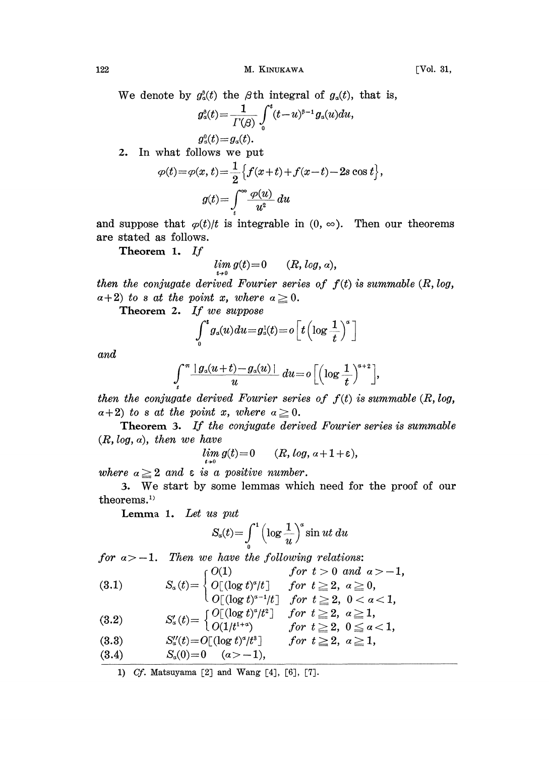122 M. KINUKAWA [Vol. 31,

We denote by  $g_{\alpha}^{\beta}(t)$  the  $\beta$ th integral of  $g_{\alpha}(t)$ , that is,

$$
\begin{aligned} g_a^\mathfrak{g}(t) &= \frac{1}{\Gamma(\beta)} \int_0^t (t-u)^{\mathfrak{g}-1} \, g_a(u) du, \\ g_a^0(t) &= g_a(t). \end{aligned}
$$

2. In what follows we put

$$
\varphi(t) = \varphi(x, t) = \frac{1}{2} \left\{ f(x+t) + f(x-t) - 2s \cos t \right\},
$$

$$
g(t) = \int_{t}^{\infty} \frac{\varphi(u)}{u^2} du
$$

and suppose that  $\varphi(t)/t$  is integrable in  $(0, \infty)$ . Then our theorems are stated as follows.

Theorem 1. If

$$
\lim_{t\to 0}g(t)=0 \qquad (R, \log, a),
$$

then the conjugate derived Fourier series of  $f(t)$  is summable  $(R, log,$  $a+2$ ) to s at the point x, where  $a \geq 0$ .

Theorem 2. If we suppose

$$
\int_0^t g_a(u) du = g_a^1(t) = o\left[t\left(\log\frac{1}{t}\right)^a\right]
$$

and

$$
\int_{t}^{\pi} \frac{\mid g_{a}(u+t)-g_{a}(u) \mid}{u} \ du = o \left[ \left( \log \frac{1}{t} \right)^{a+2} \right],
$$

then the conjugate derived Fourier series of  $f(t)$  is summable  $(R, log,$  $\alpha+2$ ) to s at the point x, where  $\alpha\geq 0$ .

Theorem 3. If the conjugate derived Fourier series is summable  $(R, log, a)$ , then we have

$$
\lim_{t\to 0} g(t)=0 \qquad (R, \log, a+1+\varepsilon),
$$

where  $a \geq 2$  and  $\varepsilon$  is a positive number.

3. We start by some lemmas which need for the proof of our theorems.<sup>1)</sup>

Lemma 1. Let us put

$$
S_a(t) = \int_0^1 \left(\log \frac{1}{u}\right)^a \sin ut \ du
$$

for  $a > -1$ . Then we have the following relations:

(3.1) 
$$
S_a(t) = \begin{cases} O(1) & \text{for } t > 0 \text{ and } a > -1, \\ O[(\log t)^a/t] & \text{for } t \geq 2, a \geq 0, \\ O[(\log t)^{a-1}/t] & \text{for } t \geq 2, 0 < a < 1, \end{cases}
$$

$$
(3.2) \qquad \qquad S'_a(t)\!=\!\begin{cases} O[\left(\log t\right)^a\!/t^2] & \hbox{for}\;\; t\geqq 2,\;\,a\geqq 1,\\ O(1/t^{1+a}) & \hbox{for}\;\; t\geqq 2,\;0\leqq a<1,\end{cases}
$$

- (8.8)  $S''_{\scriptscriptstyle a}(t) {=} O{\color{black}{\color{black}\left[\right]{}}} (\log t)^{\scriptscriptstyle a}\!/t^{\scriptscriptstyle 3}{\color{black}\left]\!\!\!}} \qquad for \, \, t \geqq 2, \, \, a \geqq 1,$
- (8.4)  $S_a(0)=0$   $(a>-1),$

1) Cf. Matsuyama [2J and Wang [4], [6J, [7J.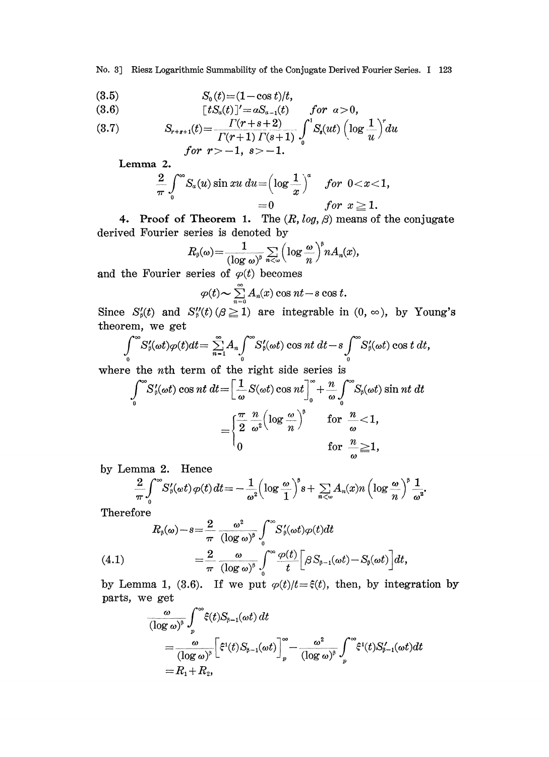No. 3] Riesz Logarithmic Summability of the Conjugate Derived Fourier Series. <sup>I</sup> 123

$$
(3.5) \t S_0(t) = (1 - \cos t)/t,
$$

$$
(3.6) \t[tSa(t)]' = aSa-1(t) \t for a > 0,
$$

(3.7) 
$$
S_{r+s+1}(t) = \frac{\Gamma(r+s+2)}{\Gamma(r+1)\Gamma(s+1)} \int_{0}^{1} S_{s}(ut) \left(\log \frac{1}{u}\right)^{r} du
$$
  
for  $r > -1$ ,  $s > -1$ .

Lemma 2.

$$
\frac{2}{\pi}\int_{0}^{\infty}S_{\alpha}(u)\sin xu\,du=\left(\log\frac{1}{x}\right)^{\alpha}\quad for\ \ 0
$$

4. Proof of Theorem 1. The  $(R, log, \beta)$  means of the conjugate derived Fourier series is denoted by

$$
R_{\scriptscriptstyle\beta}(\omega)\!=\!\frac{1}{(\log\omega)^{\scriptscriptstyle\beta}}\sum_{n<\omega}\Big(\log\frac{\omega}{n}\Big)^{\!\!\beta}nA_n(x),
$$

and the Fourier series of  $\varphi(t)$  becomes

$$
\varphi(t) \sim \sum_{n=0}^{\infty} A_n(x) \cos nt - s \cos t.
$$

Since  $S'_{\beta}(t)$  and  $S''_{\beta}(t)$  ( $\beta \ge 1$ ) are integrable in  $(0, \infty)$ , by Young's theorem, we get

$$
\int_{0}^{\infty} S'_{\beta}(\omega t) \varphi(t) dt = \sum_{n=1}^{\infty} A_{n} \int_{0}^{\infty} S'_{\beta}(\omega t) \cos nt dt - s \int_{0}^{\infty} S'_{\beta}(\omega t) \cos t dt,
$$

where the *n*th term of the right side series is

$$
\int_{0}^{\infty} S'_{\theta}(\omega t) \cos nt \, dt = \left[ \frac{1}{\omega} S(\omega t) \cos nt \right]_{0}^{\infty} + \frac{n}{\omega} \int_{0}^{\infty} S_{\theta}(\omega t) \sin nt \, dt
$$

$$
= \begin{cases} \frac{\pi}{2} \frac{n}{\omega^{2}} \Big( \log \frac{\omega}{n} \Big)^{\theta} & \text{for } \frac{n}{\omega} < 1, \\ 0 & \text{for } \frac{n}{\omega} \ge 1, \end{cases}
$$

by Lemma 2. Hence

$$
\frac{2}{\pi}\int_{0}^{\infty}S_{\beta}'(\omega t)\,\varphi(t)\,dt=-\frac{1}{\omega^2}\Big(\log\frac{\omega}{1}\Big)^{\beta}s+\sum_{n<\omega}A_{n}(x)n\left(\log\frac{\omega}{n}\right)^{\beta}\frac{1}{\omega^2}.
$$

Therefore

$$
(4.1) \qquad R_{\beta}(\omega) - s = \frac{2}{\pi} \frac{\omega^2}{(\log \omega)^{\beta}} \int_0^{\infty} S'_{\beta}(\omega t) \varphi(t) dt
$$
\n
$$
= \frac{2}{\pi} \frac{\omega}{(\log \omega)^{\beta}} \int_0^{\infty} \frac{\varphi(t)}{t} \Big[ \beta S_{\beta-1}(\omega t) - S_{\beta}(\omega t) \Big] dt,
$$

 $=\frac{2}{\pi} \frac{\omega}{(\log \omega)^{\beta}} \int_{0}^{\infty} \frac{\varphi(t)}{t} \Big[ \beta S_{\beta-1}(\omega t) - S_{\beta}(\omega t) \Big] dt,$ <br>
(i). If we put  $\varphi(t)/t = \xi(t)$ , then, by integ<br>  $\int_{0}^{\infty} \xi(t) S_{\beta-1}(\omega t) dt$ by Lemma 1, (3.6). If we put  $\varphi(t)/t=\xi(t)$ , then, by integration by parts, we get

$$
\frac{\omega}{(\log \omega)^{\beta}} \int_{p}^{\infty} \xi(t) S_{\beta-1}(\omega t) dt
$$
\n
$$
= \frac{\omega}{(\log \omega)^{\beta}} \left[ \xi^{1}(t) S_{\beta-1}(\omega t) \right]_{p}^{\infty} - \frac{\omega^{2}}{(\log \omega)^{\beta}} \int_{p}^{\infty} \xi^{1}(t) S'_{\beta-1}(\omega t) dt
$$
\n
$$
= R_{1} + R_{2},
$$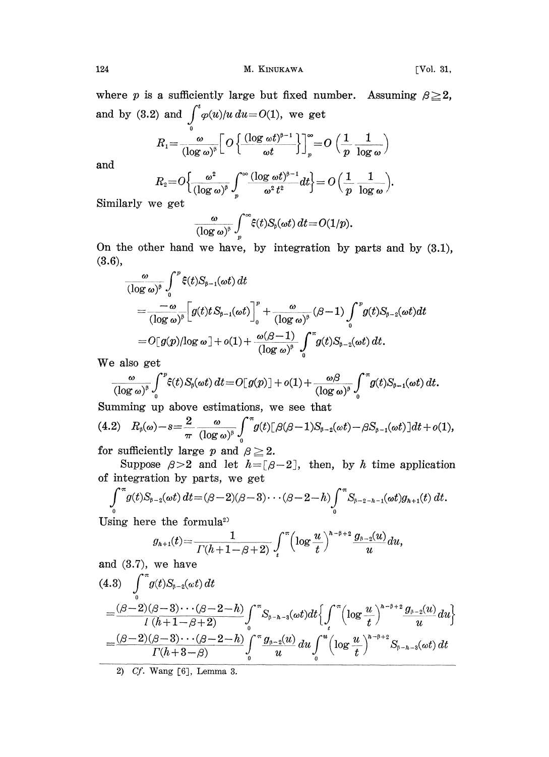where p is a sufficiently large but fixed number. Assuming  $\beta \geq 2$ , and by (3.2) and  $\int^t \varphi(u)/u \, du = O(1)$ , we get

$$
R_1 = \frac{\omega}{(\log \omega)^5} \left[ O\left\{ \frac{(\log \omega t)^{5-1}}{\omega t} \right\} \right]_p^{\infty} = O\left( \frac{1}{p} \frac{1}{\log \omega} \right)
$$

and

$$
R_2 = O\Big\{\frac{\omega^2}{(\log \omega)^{\beta}} \int_p^{\infty} \frac{(\log \omega t)^{\beta-1}}{\omega^2 t^2} dt\Big\} = O\Big(\frac{1}{p} \cdot \frac{1}{\log \omega}\Big).
$$

Similarly we get

$$
\frac{\omega}{(\log\omega)^{\mathfrak{d}}}\int\limits_{p}^{\infty}\!\hat{\varepsilon}(t)S_{\mathfrak{d}}(\omega t)\,dt\!=\!O(1/p).
$$

On the other hand we have, by integration by parts and by (3.1), (3.6),

$$
\frac{\omega}{(\log \omega)^{\beta}} \int_{0}^{p} \xi(t) S_{\beta-1}(\omega t) dt
$$
\n
$$
= \frac{-\omega}{(\log \omega)^{\beta}} \Big[ g(t) t S_{\beta-1}(\omega t) \Big]_{0}^{p} + \frac{\omega}{(\log \omega)^{\beta}} (\beta - 1) \int_{0}^{p} g(t) S_{\beta-2}(\omega t) dt
$$
\n
$$
= O[g(p)/\log \omega] + o(1) + \frac{\omega(\beta - 1)}{(\log \omega)^{\beta}} \int_{0}^{\pi} g(t) S_{\beta-2}(\omega t) dt.
$$

We also get

$$
\frac{\omega}{(\log \omega)^{\beta}} \int_{0}^{p} \xi(t) S_{\beta}(\omega t) dt = O[|g(p)|] + o(1) + \frac{\omega \beta}{(\log \omega)^{\beta}} \int_{0}^{\pi} g(t) S_{\beta-1}(\omega t) dt.
$$

Summing up above estimations, we see that

$$
(4.2) \quad R_{\beta}(\omega)-s=\frac{2}{\pi}\frac{\omega}{(\log \omega)^{\beta}}\int_{0}^{\pi}g(t)[\beta(\beta-1)S_{\beta-2}(\omega t)-\beta S_{\beta-1}(\omega t)]dt+o(1),
$$
for sufficiently large  $\alpha$  and  $\beta > 2$ .

for sufficiently large p and  $\beta \geq 2$ .

Suppose  $\beta > 2$  and let  $h = [\beta - 2]$ , then, by h time application of integration by parts, we get

$$
\int_{0}^{\pi} g(t)S_{\beta-2}(\omega t) dt = (\beta-2)(\beta-3)\cdots(\beta-2-h)\int_{0}^{\pi} S_{\beta-2-h-1}(\omega t)g_{h+1}(t) dt.
$$

Using here the formula

e the formula  

$$
g_{h+1}(t) = \frac{1}{\Gamma(h+1-\beta+2)} \int_t^{\pi} \left(\log \frac{u}{t}\right)^{h-\beta+2} \frac{g_{\beta-2}(u)}{u} du,
$$

and 
$$
(3.7)
$$
, we have

and (3.7), we have  
\n
$$
I(h+1-\beta+2) \int_{t}^{h} \int_{t}^{h} u^{h} du
$$
\n
$$
= \frac{(\beta-2)(\beta-3)\cdots(\beta-2-h)}{l(h+1-\beta+2)} \int_{0}^{\pi} S_{\beta-h-3}(\omega t) dt \Big\{ \int_{t}^{\pi} \Big( \log \frac{u}{t} \Big)^{h-\beta+2} \frac{g_{\beta-2}(u)}{u} du \Big\}
$$
\n
$$
= \frac{(\beta-2)(\beta-3)\cdots(\beta-2-h)}{l(h+3-\beta)} \int_{0}^{\pi} \frac{g_{\beta-2}(u)}{u} du \int_{0}^{u} \Big( \log \frac{u}{t} \Big)^{h-\beta+2} S_{\beta-h-3}(\omega t) dt
$$

2) Cf. Wang [6], Lemma 3.